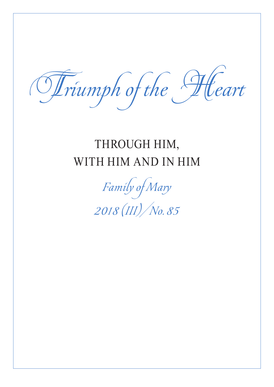Triumph of the Heart

## THROUGH HIM, WITH HIM AND IN HIM

Family of Mary 2018 (III)/No. 85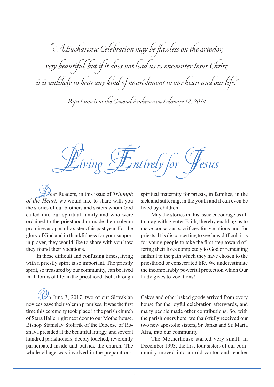" A Eucharistic Celebration may be flawless on the exterior, very beautiful, but if it does not lead us to encounter Jesus Christ, it is unlikely to bear any kind of nourishment to our heart and our life."

Pope Francis at the General Audience on February 12, 2014

 $\mathcal{I}$ ntirely for

Dear Readers, in this issue of *Triumph of the Heart,* we would like to share with you the stories of our brothers and sisters whom God called into our spiritual family and who were ordained to the priesthood or made their solemn promises as apostolic sisters this past year. For the glory of God and in thankfulness for your support in prayer, they would like to share with you how they found their vocations.

In these difficult and confusing times, living with a priestly spirit is so important. The priestly spirit, so treasured by our community, can be lived in all forms of life: in the priesthood itself, through

 $\left(\mathcal{Q}\right)$ n June 3, 2017, two of our Slovakian novices gave their solemn promises. It was the first time this ceremony took place in the parish church of Stara Halic, right next door to our Motherhouse. Bishop Stanislav Stolarik of the Diocese of Roznava presided at the beautiful liturgy, and several hundred parishioners, deeply touched, reverently participated inside and outside the church. The whole village was involved in the preparations.

spiritual maternity for priests, in families, in the sick and suffering, in the youth and it can even be lived by children.

May the stories in this issue encourage us all to pray with greater Faith, thereby enabling us to make conscious sacrifices for vocations and for priests. It is disconcerting to see how difficult it is for young people to take the first step toward offering their lives completely to God or remaining faithful to the path which they have chosen to the priesthood or consecrated life. We underestimate the incomparably powerful protection which Our Lady gives to vocations!

Cakes and other baked goods arrived from every house for the joyful celebration afterwards, and many people made other contributions. So, with the parishioners here, we thankfully received our two new apostolic sisters, Sr. Janka and Sr. Maria Afra, into our community.

The Motherhouse started very small. In December 1993, the first four sisters of our community moved into an old cantor and teacher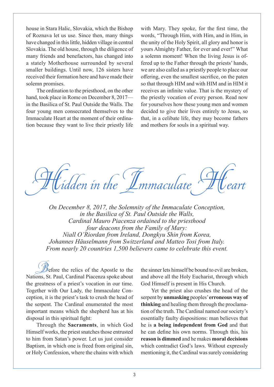house in Stara Halic, Slovakia, which the Bishop of Roznava let us use. Since then, many things have changed in this little, hidden village in central Slovakia. The old house, through the diligence of many friends and benefactors, has changed into a stately Motherhouse surrounded by several smaller buildings. Until now, 126 sisters have received their formation here and have made their solemn promises.

The ordination to the priesthood, on the other hand, took place in Rome on December 8, 2017 in the Basilica of St. Paul Outside the Walls. The four young men consecrated themselves to the Immaculate Heart at the moment of their ordination because they want to live their priestly life

with Mary. They spoke, for the first time, the words, "Through Him, with Him, and in Him, in the unity of the Holy Spirit, all glory and honor is yours Almighty Father, for ever and ever!" What a solemn moment! When the living Jesus is offered up to the Father through the priests' hands, we are also called as a priestly people to place our offering, even the smallest sacrifice, on the paten so that through HIM and with HIM and in HIM it receives an infinite value. That is the mystery of the priestly vocation of every person. Read now for yourselves how these young men and women decided to give their lives entirely to Jesus, so that, in a celibate life, they may become fathers and mothers for souls in a spiritual way.

idden in the  $\int\!\!\!\!\!\int$ mmaculate

*On December 8, 2017, the Solemnity of the Immaculate Conception, in the Basilica of St. Paul Outside the Walls, Cardinal Mauro Piacenza ordained to the priesthood four deacons from the Family of Mary: Niall O'Riordan from Ireland, Dongkyu Shin from Korea, Johannes Häuselmann from Switzerland and Matteo Tosi from Italy. From nearly 20 countries 1,500 believers came to celebrate this event.*

 $\mathscr{B}$  efore the relics of the Apostle to the Nations, St. Paul, Cardinal Piacenza spoke about the greatness of a priest's vocation in our time. Together with Our Lady, the Immaculate Conception, it is the priest's task to crush the head of the serpent. The Cardinal enumerated the most important means which the shepherd has at his disposal in this spiritual fight:

Through the **Sacraments**, in which God Himself works, the priest snatches those entrusted to him from Satan's power. Let us just consider Baptism, in which one is freed from original sin, or Holy Confession, where the chains with which

the sinner lets himself be bound to evil are broken, and above all the Holy Eucharist, through which God Himself is present in His Church.

Yet the priest also crushes the head of the serpent by **unmasking** peoples' **erroneous way of thinking** and healing them through the proclamation of the truth. The Cardinal named our society's essentially faulty dispositions: man believes that he is **a being independent from God** and that he can define his own norms. Through this, his **reason is dimmed** and he makes **moral decisions** which contradict God's laws. Without expressly mentioning it, the Cardinal was surely considering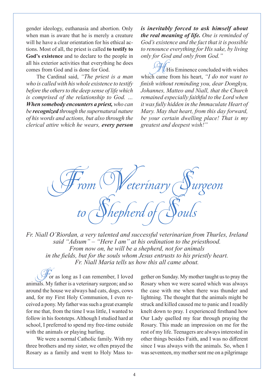gender ideology, euthanasia and abortion. Only when man is aware that he is merely a creature will he have a clear orientation for his ethical actions. Most of all, the priest is called **to testify to God's existence** and to declare to the people in all his exterior activities that everything he does comes from God and is done for God.

The Cardinal said, *"The priest is a man who is called with his whole existence to testify before the others to the deep sense of life which is comprised of the relationship to God. … When somebody encounters a priest, who can be recognized through the supernatural nature of his words and actions, but also through the clerical attire which he wears, every person*  *is inevitably forced to ask himself about the real meaning of life. One is reminded of God's existence and the fact that it is possible to renounce everything for His sake, by living only for God and only from God."*

 $U$ His Eminence concluded with wishes which came from his heart, *"I do not want to finish without reminding you, dear Dongkyu, Johannes, Matteo and Niall, that the Church remained especially faithful to the Lord when it was fully hidden in the Immaculate Heart of Mary. May that heart, from this day forward, be your certain dwelling place! That is my greatest and deepest wish!"*



*Fr. Niall O'Riordan, a very talented and successful veterinarian from Thurles, Ireland said "Adsum" – "Here I am" at his ordination to the priesthood. From now on, he will be a shepherd, not for animals in the fields, but for the souls whom Jesus entrusts to his priestly heart. Fr. Niall Maria tells us how this all came about.*

For as long as I can remember, I loved animals. My father is a veterinary surgeon; and so around the house we always had cats, dogs, cows and, for my First Holy Communion, I even received a pony. My father was such a great example for me that, from the time I was little, I wanted to follow in his footsteps. Although I studied hard at school, I preferred to spend my free-time outside with the animals or playing hurling.

We were a normal Catholic family. With my three brothers and my sister, we often prayed the Rosary as a family and went to Holy Mass together on Sunday. My mother taught us to pray the Rosary when we were scared which was always the case with me when there was thunder and lightning. The thought that the animals might be struck and killed caused me to panic and I readily knelt down to pray. I experienced firsthand how Our Lady quelled my fear through praying the Rosary. This made an impression on me for the rest of my life. Teenagers are always interested in other things besides Faith, and I was no different since I was always with the animals. So, when I was seventeen, my mother sent me on a pilgrimage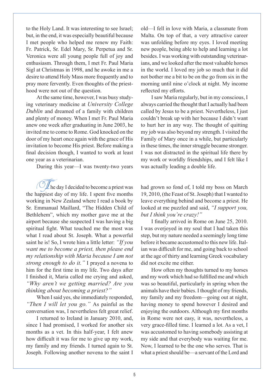to the Holy Land. It was interesting to see Israel; but, in the end, it was especially beautiful because I met people who helped me renew my Faith: Fr. Patrick, Sr. Edel Mary, Sr. Perpetua and Sr. Veronica were all young people full of joy and enthusiasm. Through them, I met Fr. Paul Maria Sigl at Christmas in 1998, and he awoke in me a desire to attend Holy Mass more frequently and to pray more fervently. Even thoughts of the priesthood were not out of the question.

At the same time, however, I was busy studying veterinary medicine at *University College Dublin* and dreamed of a family with children and plenty of money. When I met Fr. Paul Maria anew one week after graduating in June 2003, he invited me to come to Rome. God knocked on the door of my heart once again with the grace of His invitation to become His priest. Before making a final decision though, I wanted to work at least one year as a veterinarian.

During this year—I was twenty-two years

 $\mathbb Z$  he day I decided to become a priest was the happiest day of my life. I spent five months working in New Zealand where I read a book by Sr. Emmanual Maillard, "The Hidden Child of Bethlehem", which my mother gave me at the airport because she suspected I was having a big spiritual fight. What touched me the most was what I read about St. Joseph. What a powerful saint he is! So, I wrote him a little letter: *"If you want me to become a priest, then please end my relationship with Maria because I am not strong enough to do it."* I prayed a novena to him for the first time in my life. Two days after I finished it, Maria called me crying and asked, *"Why aren't we getting married? Are you thinking about becoming a priest?"*

When I said yes, she immediately responded, *"Then I will let you go."* As painful as the conversation was, I nevertheless felt great relief.

I returned to Ireland in January 2010, and, since I had promised, I worked for another six months as a vet. In this half-year, I felt anew how difficult it was for me to give up my work, my family and my friends. I turned again to St. Joseph. Following another novena to the saint I old—I fell in love with Maria, a classmate from Malta. On top of that, a very attractive career was unfolding before my eyes. I loved meeting new people, being able to help and learning a lot besides. I was working with outstanding veterinarians, and we looked after the most valuable horses in the world. I loved my job so much that it did not bother me a bit to be on the go from six in the morning until nine o'clock at night. My income reflected my efforts.

I saw Maria regularly, but in my conscious, I always carried the thought that I actually had been called by Jesus to be a priest. Nevertheless, I just couldn't break up with her because I didn't want to hurt her in any way. The thought of quitting my job was also beyond my strength. I visited the Family of Mary once in a while, but particularly in these times, the inner struggle became stronger. I was not distracted in the spiritual life there by my work or worldly friendships, and I felt like I was actually leading a double life.

had grown so fond of, I told my boss on March 19, 2010, (the Feast of St. Joseph) that I wanted to leave everything behind and become a priest. He looked at me puzzled and said, *"I support you, but I think you're crazy!"*

I finally arrived in Rome on June 25, 2010. I was overjoyed in my soul that I had taken this step, but my nature needed a seemingly long time before it became accustomed to this new life. Italian was difficult for me, and going back to school at the age of thirty and learning Greek vocabulary did not excite me either.

How often my thoughts turned to my horses and my work which had so fulfilled me and which was so beautiful, particularly in spring when the animals have their babies. I thought of my friends, my family and my freedom—going out at night, having money to spend however I desired and enjoying the outdoors. Although my first months in Rome were not easy, it was, nevertheless, a very grace-filled time. I learned a lot. As a vet, I was accustomed to having somebody assisting at my side and that everybody was waiting for me. Now, I learned to be the one who serves. That is what a priest should be—a servant of the Lord and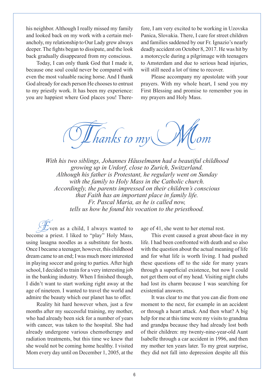his neighbor. Although I really missed my family and looked back on my work with a certain melancholy, my relationship to Our Lady grew always deeper. The fights began to dissipate, and the look back gradually disappeared from my conscious.

Today, I can only thank God that I made it, because one soul could never be compared with even the most valuable racing horse. And I thank God already for each person He chooses to entrust to my priestly work. It has been my experience: you are happiest where God places you! There-

fore, I am very excited to be working in Uzovska Panica, Slovakia. There, I care for street children and families saddened by our Fr. Ignazio's nearly deadly accident on October 8, 2017. He was hit by a motorcycle during a pilgrimage with teenagers to Amsterdam and due to serious head injuries, will still need a lot of time to recover.

Please accompany my apostolate with your prayers. With my whole heart, I send you my First Blessing and promise to remember you in my prayers and Holy Mass.

Thanks to my

*With his two siblings, Johannes Häuselmann had a beautiful childhood growing up in Urdorf, close to Zurich, Switzerland. Although his father is Protestant, he regularly went on Sunday with the family to Holy Mass in the Catholic church. Accordingly, the parents impressed on their children's conscious that Faith has an important place in family life. Fr. Pascal Maria, as he is called now, tells us how he found his vocation to the priesthood.*

Even as a child, I always wanted to become a priest. I liked to "play" Holy Mass, using lasagna noodles as a substitute for hosts. Once I became a teenager, however, this childhood dream came to an end; I was much more interested in playing soccer and going to parties. After high school, I decided to train for a very interesting job in the banking industry. When I finished though, I didn't want to start working right away at the age of nineteen. I wanted to travel the world and admire the beauty which our planet has to offer.

Reality hit hard however when, just a few months after my successful training, my mother, who had already been sick for a number of years with cancer, was taken to the hospital. She had already undergone various chemotherapy and radiation treatments, but this time we knew that she would not be coming home healthy. I visited Mom every day until on December 1, 2005, at the

age of 41, she went to her eternal rest.

This event caused a great about-face in my life. I had been confronted with death and so also with the question about the actual meaning of life and for what life is worth living. I had pushed these questions off to the side for many years through a superficial existence, but now I could not get them out of my head. Visiting night clubs had lost its charm because I was searching for existential answers.

It was clear to me that you can die from one moment to the next, for example in an accident or through a heart attack. And then what? A big help for me at this time were my visits to grandma and grandpa because they had already lost both of their children: my twenty-nine-year-old Aunt Isabelle through a car accident in 1996, and then my mother ten years later. To my great surprise, they did not fall into depression despite all this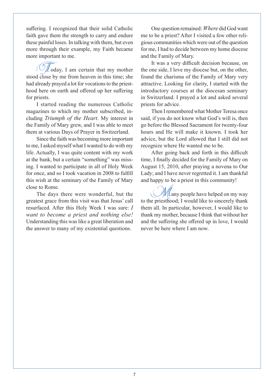suffering. I recognized that their solid Catholic faith gave them the strength to carry and endure these painful loses. In talking with them, but even more through their example, my Faith became more important to me.

 $\mathbb Z$  oday, I am certain that my mother stood close by me from heaven in this time; she had already prayed a lot for vocations to the priesthood here on earth and offered up her suffering for priests.

I started reading the numerous Catholic magazines to which my mother subscribed, including *Triumph of the Heart*. My interest in the Family of Mary grew, and I was able to meet them at various Days of Prayer in Switzerland.

Since the faith was becoming more important to me, I asked myself what I wanted to do with my life. Actually, I was quite content with my work at the bank, but a certain "something" was missing. I wanted to participate in all of Holy Week for once, and so I took vacation in 2008 to fulfill this wish at the seminary of the Family of Mary close to Rome.

The days there were wonderful, but the greatest grace from this visit was that Jesus' call resurfaced. After this Holy Week I was sure: *I want to become a priest and nothing else!*  Understanding this was like a great liberation and the answer to many of my existential questions.

One question remained: *Where* did God want me to be a priest? After I visited a few other religious communities which were out of the question for me, I had to decide between my home diocese and the Family of Mary.

It was a very difficult decision because, on the one side, I love my diocese but, on the other, found the charisma of the Family of Mary very attractive. Looking for clarity, I started with the introductory courses at the diocesan seminary in Switzerland. I prayed a lot and asked several priests for advice.

Then I remembered what Mother Teresa once said, if you do not know what God's will is, then go before the Blessed Sacrament for twenty-four hours and He will make it known. I took her advice, but the Lord allowed that I still did not recognize where He wanted me to be.

After going back and forth in this difficult time, I finally decided for the Family of Mary on August 15, 2010, after praying a novena to Our Lady; and I have never regretted it. I am thankful and happy to be a priest in this community!

 $\ell$ any people have helped on my way to the priesthood; I would like to sincerely thank them all. In particular, however, I would like to thank my mother, because I think that without her and the suffering she offered up in love, I would never be here where I am now.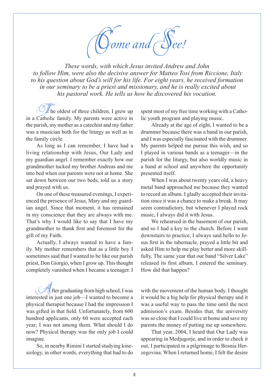*Yome and* See!

*These words, with which Jesus invited Andrew and John to follow Him, were also the decisive answer for Matteo Tosi from Riccione, Italy to his question about God's will for his life. For eight years, he received formation in our seminary to be a priest and missionary, and he is really excited about his pastoral work. He tells us how he discovered his vocation.*

The oldest of three children, I grew up in a Catholic family. My parents were active in the parish, my mother as a catechist and my father was a musician both for the liturgy as well as in the family circle.

As long as I can remember, I have had a living relationship with Jesus, Our Lady and my guardian angel. I remember exactly how our grandmother tucked my brother Andreas and me into bed when our parents were not at home. She sat down between our two beds, told us a story and prayed with us.

On one of these treasured evenings, I experienced the presence of Jesus, Mary and my guardian angel. Since that moment, it has remained in my conscience that they are always with me. That's why I would like to say that I have my grandmother to thank first and foremost for the gift of my Faith.

Actually, I always wanted to have a family. My mother remembers that as a little boy I sometimes said that I wanted to be like our parish priest, Don Giorgio, when I grow up. This thought completely vanished when I became a teenager. I

 $\mathcal{H}$ fter graduating from high school, I was interested in just one job—I wanted to become a physical therapist because I had the impression I was gifted in that field. Unfortunately, from 600 hundred applicants, only 60 were accepted each year; I was not among them. What should I do now? Physical therapy was the only job I could imagine.

So, in nearby Rimini I started studying kinesiology, in other words, everything that had to do spent most of my free time working with a Catholic youth program and playing music.

Already at the age of eight, I wanted to be a drummer because there was a band in our parish, and I was especially fascinated with the drummer. My parents helped me pursue this wish, and so I played in various bands as a teenager—in the parish for the liturgy, but also worldly music in a band at school and anywhere the opportunity presented itself.

When I was about twenty years old, a heavy metal band approached me because they wanted to record an album. I gladly accepted their invitation since it was a chance to make a break. It may seem contradictory, but whenever I played rock music, I always did it with Jesus.

We rehearsed in the basement of our parish, and so I had a key to the church. Before I went downstairs to practice, I always said hello to Jesus first in the tabernacle, prayed a little bit and asked Him to help me play better and more skillfully. The same year that our band "Silver Lake" released its first album, I entered the seminary. How did that happen?

with the movement of the human body. I thought it would be a big help for physical therapy and it was a useful way to pass the time until the next admission's exam. Besides that, the university was so close that I could live at home and save my parents the money of putting me up somewhere.

That year, 2004, I heard that Our Lady was appearing in Medjugorje, and in order to check it out, I participated in a pilgrimage to Bosnia Herzegovina. When I returned home, I felt the desire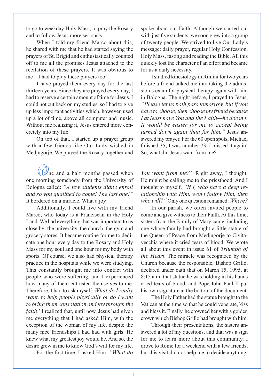to go to weekday Holy Mass, to pray the Rosary and to follow Jesus more seriously.

When I told my friend Marco about this, he shared with me that he had started saying the prayers of St. Brigid and enthusiastically counted off to me all the promises Jesus attached to the recitation of these prayers. It was obvious to me—I had to pray these prayers too!

I have prayed them every day for the last thirteen years. Since they are prayed every day, I had to reserve a certain amount of time for Jesus. I could not cut back on my studies, so I had to give up less important activities which, however, used up a lot of time, above all computer and music. Without me realizing it, Jesus entered more concretely into my life.

On top of that, I started up a prayer group with a few friends like Our Lady wished in Medjugorje. We prayed the Rosary together and

 $\mathcal{V}_{\text{ne}}$  and a half months passed when one morning somebody from the University of Bologna called: *"A few students didn't enroll and so you qualified to come! The last one!"* It bordered on a miracle. What a joy!

Additionally, I could live with my friend Marco, who today is a Franciscan in the Holy Land. We had everything that was important to us close by: the university, the church, the gym and grocery stores. It became routine for me to dedicate one hour every day to the Rosary and Holy Mass for my soul and one hour for my body with sports. Of course, we also had physical therapy practice in the hospitals while we were studying. This constantly brought me into contact with people who were suffering, and I experienced how many of them entrusted themselves to me. Therefore, I had to ask myself: *What do I really want, to help people physically or do I want to bring them consolation and joy through the faith?* I realized that, until now, Jesus had given me everything that I had asked Him, with the exception of the woman of my life, despite the many nice friendships I had had with girls. He knew what my greatest joy would be. And so, the desire grew in me to know God's will for my life.

For the first time, I asked Him, *"What do* 

spoke about our Faith. Although we started out with just five students, we soon grew into a group of twenty people. We strived to live Our Lady's message: daily prayer, regular Holy Confession, Holy Mass, fasting and reading the Bible. All this quickly lost the character of an effort and became for us a daily necessity.

I studied kinesiology in Rimini for two years before a friend talked me into taking the admission's exam for physical therapy again with him in Bologna. The night before, I prayed to Jesus, *"Please let us both pass tomorrow, but if you have to choose, then choose my friend because I at least have You and the Faith—he doesn't. It would be easier for me to accept being turned down again than for him."* Jesus answered my prayer. For the 60 open spots, Michael finished 35; I was number 73. I missed it again! So, what did Jesus want from me?

*You want from me?"* Right away, I thought, He might be calling me to the priesthood. And I thought to myself, *"If I, who have a deep relationship with Him, won't follow Him, then who will?"* Only one question remained: *Where?*

In our parish, we often invited people to come and give witness to their Faith. At this time, sisters from the Family of Mary came, including one whose family had brought a little statue of the Queen of Peace from Medjugorje to Civitavecchia where it cried tears of blood. We wrote all about this event in issue 61 of *Triumph of the Heart*. The miracle was recognized by the Church because the responsible, Bishop Grillo, declared under oath that on March 15, 1995, at 8:15 a.m. that statue he was holding in his hands cried tears of blood, and Pope John Paul II put his own signature at the bottom of the document.

The Holy Father had the statue brought to the Vatican at the time so that he could venerate, kiss and bless it. Finally, he crowned her with a golden crown which Bishop Grillo had brought with him.

Through their presentations, the sisters answered a lot of my questions, and that was a sign for me to learn more about this community. I drove to Rome for a weekend with a few friends, but this visit did not help me to decide anything.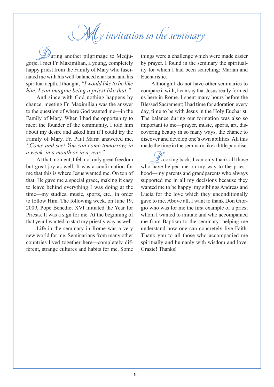# My invitation to the seminary

uring another pilgrimage to Medjugorje, I met Fr. Maximilian, a young, completely happy priest from the Family of Mary who fascinated me with his well-balanced charisma and his spiritual depth. I thought, *"I would like to be like him. I can imagine being a priest like that."*

And since with God nothing happens by chance, meeting Fr. Maximilian was the answer to the question of where God wanted me—in the Family of Mary. When I had the opportunity to meet the founder of the community, I told him about my desire and asked him if I could try the Family of Mary. Fr. Paul Maria answered me, *"Come and see! You can come tomorrow, in a week, in a month or in a year."*

At that moment, I felt not only great freedom but great joy as well. It was a confirmation for me that this is where Jesus wanted me. On top of that, He gave me a special grace, making it easy to leave behind everything I was doing at the time—my studies, music, sports, etc., in order to follow Him. The following week, on June 19, 2009, Pope Benedict XVI initiated the Year for Priests. It was a sign for me. At the beginning of that year I wanted to start my priestly way as well.

Life in the seminary in Rome was a very new world for me. Seminarians from many other countries lived together here—completely different, strange cultures and habits for me. Some things were a challenge which were made easier by prayer. I found in the seminary the spirituality for which I had been searching: Marian and Eucharistic.

Although I do not have other seminaries to compare it with, I can say that Jesus really formed us here in Rome. I spent many hours before the Blessed Sacrament; I had time for adoration every day, time to be with Jesus in the Holy Eucharist. The balance during our formation was also so important to me—prayer, music, sports, art, discovering beauty in so many ways, the chance to discover and develop one's own abilities. All this made the time in the seminary like a little paradise.

 $\n *L*$  ooking back, I can only thank all those who have helped me on my way to the priesthood—my parents and grandparents who always supported me in all my decisions because they wanted me to be happy: my siblings Andreas and Lucia for the love which they unconditionally gave to me. Above all, I want to thank Don Giorgio who was for me the first example of a priest whom I wanted to imitate and who accompanied me from Baptism to the seminary: helping me understand how one can concretely live Faith. Thank you to all those who accompanied me spiritually and humanly with wisdom and love. Grazie! Thanks!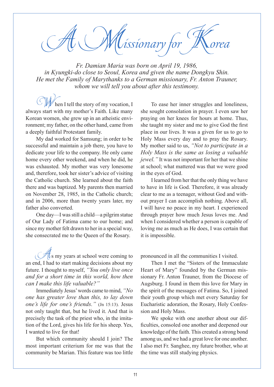$\it U$ issionary for

*Fr. Damian Maria was born on April 19, 1986, in Kyungki-do close to Seoul, Korea and given the name Dongkyu Shin. He met the Family of Marythanks to a German missionary, Fr. Anton Trauner, whom we will tell you about after this testimony.* 

hen I tell the story of my vocation, I always start with my mother's Faith. Like many Korean women, she grew up in an atheistic environment; my father, on the other hand, came from a deeply faithful Protestant family.

My dad worked for Samsung; in order to be successful and maintain a job there, you have to dedicate your life to the company. He only came home every other weekend, and when he did, he was exhausted. My mother was very lonesome and, therefore, took her sister's advice of visiting the Catholic church. She learned about the faith there and was baptized. My parents then married on November 28, 1985, in the Catholic church; and in 2006, more than twenty years later, my father also converted.

One day—I was still a child—a pilgrim statue of Our Lady of Fatima came to our home; and since my mother felt drawn to her in a special way, she consecrated me to the Queen of the Rosary.

 $\frac{1}{\sqrt{2}}$  my years at school were coming to an end, I had to start making decisions about my future. I thought to myself, *"You only live once and for a short time in this world, how then can I make this life valuable?"*

Immediately Jesus' words came to mind, *"No one has greater love than this, to lay down one's life for one's friends."* (Jn 15:13). Jesus not only taught that, but he lived it. And that is precisely the task of the priest who, in the imitation of the Lord, gives his life for his sheep. Yes, I wanted to live for that!

But which community should I join? The most important criterium for me was that the community be Marian. This feature was too little

To ease her inner struggles and loneliness, she sought consolation in prayer. I even saw her praying on her knees for hours at home. Thus, she taught my sister and me to give God the first place in our lives. It was a given for us to go to Holy Mass every day and to pray the Rosary. My mother said to us, *"Not to participate in a Holy Mass is the same as losing a valuable jewel."* It was not important for her that we shine at school; what mattered was that we were good in the eyes of God.

I learned from her that the only thing we have to have in life is God. Therefore, it was already clear to me as a teenager, without God and without prayer I can accomplish nothing. Above all, I will have no peace in my heart. I experienced through prayer how much Jesus loves me. And when I considered whether a person is capable of loving me as much as He does, I was certain that it is impossible.

pronounced in all the communities I visited.

Then I met the "Sisters of the Immaculate Heart of Mary" founded by the German missionary Fr. Anton Trauner, from the Diocese of Augsburg. I found in them this love for Mary in the spirit of the messages of Fatima. So, I joined their youth group which met every Saturday for Eucharistic adoration, the Rosary, Holy Confession and Holy Mass.

We spoke with one another about our difficulties, consoled one another and deepened our knowledge of the faith. This created a strong bond among us, and we had a great love for one another. I also met Fr. Sanghee, my future brother, who at the time was still studying physics.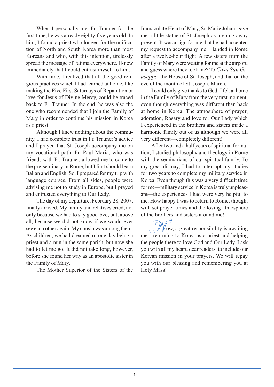When I personally met Fr. Trauner for the first time, he was already eighty-five years old. In him, I found a priest who longed for the unification of North and South Korea more than most Koreans and who, with this intention, tirelessly spread the message of Fatima everywhere. I knew immediately that I could entrust myself to him.

With time, I realized that all the good religious practices which I had learned at home, like making the Five First Saturdays of Reparation or love for Jesus of Divine Mercy, could be traced back to Fr. Trauner. In the end, he was also the one who recommended that I join the Family of Mary in order to continue his mission in Korea as a priest.

Although I knew nothing about the community, I had complete trust in Fr. Trauner's advice and I prayed that St. Joseph accompany me on my vocational path. Fr. Paul Maria, who was friends with Fr. Trauner, allowed me to come to the pre-seminary in Rome, but I first should learn Italian and English. So, I prepared for my trip with language courses. From all sides, people were advising me not to study in Europe, but I prayed and entrusted everything to Our Lady.

The day of my departure, February 28, 2007, finally arrived. My family and relatives cried, not only because we had to say good-bye, but, above all, because we did not know if we would ever see each other again. My cousin was among them. As children, we had dreamed of one day being a priest and a nun in the same parish, but now she had to let me go. It did not take long, however, before she found her way as an apostolic sister in the Family of Mary.

The Mother Superior of the Sisters of the

Immaculate Heart of Mary, Sr. Marie Johan, gave me a little statue of St. Joseph as a going-away present. It was a sign for me that he had accepted my request to accompany me. I landed in Rome after a twelve-hour flight. A few sisters from the Family of Mary were waiting for me at the airport, and guess where they took me? To *Casa San Giuseppe,* the House of St. Joseph, and that on the eve of the month of St. Joseph, March.

I could only give thanks to God! I felt at home in the Family of Mary from the very first moment, even though everything was different than back at home in Korea. The atmosphere of prayer, adoration, Rosary and love for Our Lady which I experienced in the brothers and sisters made a harmonic family out of us although we were all very different—completely different!

After two and a half years of spiritual formation, I studied philosophy and theology in Rome with the seminarians of our spiritual family. To my great dismay, I had to interrupt my studies for two years to complete my military service in Korea. Even though this was a very difficult time for me—military service in Korea is truly unpleasant—the experiences I had were very helpful to me. How happy I was to return to Rome, though, with set prayer times and the loving atmosphere of the brothers and sisters around me!

 $\sqrt{8}$  ow, a great responsibility is awaiting me—returning to Korea as a priest and helping the people there to love God and Our Lady. I ask you with all my heart, dear readers, to include our Korean mission in your prayers. We will repay you with our blessing and remembering you at Holy Mass!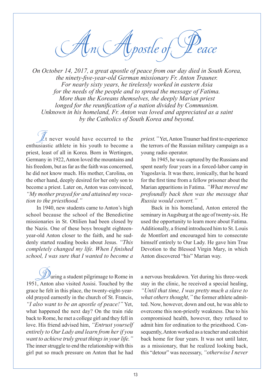$\mathcal{A}_n$  Apostle of

*On October 14, 2017, a great apostle of peace from our day died in South Korea, the ninety-five-year-old German missionary Fr. Anton Trauner. For nearly sixty years, he tirelessly worked in eastern Asia for the needs of the people and to spread the message of Fatima. More than the Koreans themselves, the deeply Marian priest longed for the reunification of a nation divided by Communism. Unknown in his homeland, Fr. Anton was loved and appreciated as a saint by the Catholics of South Korea and beyond.*

 $\mathbb{Z}$ t never would have occurred to the enthusiastic athlete in his youth to become a priest, least of all in Korea. Born in Wertingen, Germany in 1922, Anton loved the mountains and his freedom, but as far as the faith was concerned, he did not know much. His mother, Carolina, on the other hand, deeply desired for her only son to become a priest. Later on, Anton was convinced, *"My mother prayed for and attained my vocation to the priesthood."*

In 1940, new students came to Anton's high school because the school of the Benedictine missionaries in St. Ottilien had been closed by the Nazis. One of these boys brought eighteenyear-old Anton closer to the faith, and he suddenly started reading books about Jesus. *"This completely changed my life. When I finished school, I was sure that I wanted to become a* 

 $\mathscr{D}$ uring a student pilgrimage to Rome in 1951, Anton also visited Assisi. Touched by the grace he felt in this place, the twenty-eight-yearold prayed earnestly in the church of St. Francis, *"I also want to be an apostle of peace!"* Yet, what happened the next day? On the train ride back to Rome, he met a college girl and they fell in love. His friend advised him, *"Entrust yourself entirely to Our Lady and learn from her if you want to achieve truly great things in your life."* The inner struggle to end the relationship with this girl put so much pressure on Anton that he had

*priest."* Yet, Anton Trauner had first to experience the terrors of the Russian military campaign as a young radio operator.

In 1945, he was captured by the Russians and spent nearly four years in a forced-labor camp in Yugoslavia. It was there, ironically, that he heard for the first time from a fellow prisoner about the Marian apparitions in Fatima. *"What moved me profoundly back then was the message that Russia would convert."* 

Back in his homeland, Anton entered the seminary in Augsburg at the age of twenty-six. He used the opportunity to learn more about Fatima. Additionally, a friend introduced him to St. Louis de Montfort and encouraged him to consecrate himself entirely to Our Lady. He gave him True Devotion to the Blessed Virgin Mary, in which Anton discovered "his" Marian way.

a nervous breakdown. Yet during his three-week stay in the clinic, he received a special healing, *"Until that time, I was pretty much a slave to what others thought,"* the former athlete admitted. Now, however, down and out, he was able to overcome this non-priestly weakness. Due to his compromised health, however, they refused to admit him for ordination to the priesthood. Consequently, Anton worked as a teacher and catechist back home for four years. It was not until later, as a missionary, that he realized looking back, this "detour" was necessary, *"otherwise I never*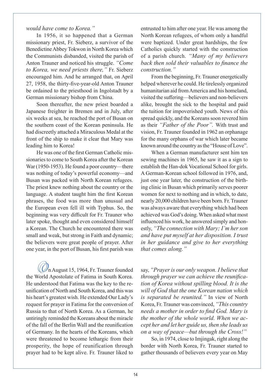#### *would have come to Korea."*

In 1956, it so happened that a German missionary priest, Fr. Sieberz, a survivor of the Benedictine Abbey Tokwon in North Korea which the Communists disbanded, visited the parish of Anton Trauner and noticed his struggle. *"Come to Korea, we need priests there,"* Fr. Sieberz encouraged him. And he arranged that, on April 27, 1958, the thirty-five-year-old Anton Trauner be ordained to the priesthood in Ingolstadt by a German missionary bishop from China.

Soon thereafter, the new priest boarded a Japanese freighter in Bremen and in July, after six weeks at sea, he reached the port of Busan on the southern coast of the Korean peninsula. He had discreetly attached a Miraculous Medal at the front of the ship to make it clear that Mary was leading him to Korea!

He was one of the first German Catholic missionaries to come to South Korea after the Korean War (1950-1953). He found a poor country—there was nothing of today's powerful economy—and Busan was packed with North Korean refugees. The priest knew nothing about the country or the language. A student taught him the first Korean phrases, the food was more than unusual and the European even fell ill with Typhus. So, the beginning was very difficult for Fr. Trauner who later spoke, thought and even considered himself a Korean. The Church he encountered there was small and weak, but strong in Faith and dynamic; the believers were great people of prayer. After one year, in the port of Busan, his first parish was

 $\mathcal{V}_n$  August 15, 1964, Fr. Trauner founded the World Apostolate of Fatima in South Korea. He understood that Fatima was the key to the reunification of North and South Korea, and this was his heart's greatest wish. He extended Our Lady's request for prayer in Fatima for the conversion of Russia to that of North Korea. As a German, he untiringly reminded the Koreans about the miracle of the fall of the Berlin Wall and the reunification of Germany. In the hearts of the Koreans, which were threatened to become lethargic from their prosperity, the hope of reunification through prayer had to be kept alive. Fr. Trauner liked to

entrusted to him after one year. He was among the North Korean refugees, of whom only a handful were baptized. Under great hardships, the few Catholics quickly started with the construction of a parish church. *"Many of my believers back then sold their valuables to finance the construction."*

From the beginning, Fr. Trauner energetically helped wherever he could. He tirelessly organized humanitarian aid from America and his homeland, visited the suffering—believers and non-believers alike, brought the sick to the hospital and paid the tuition for impoverished youth. News of this spread quickly, and the Koreans soon revered him as their *"Father of the Poor".* With trust and vision, Fr. Trauner founded in 1962 an orphanage for the many orphans of war which later became known around the country as the "House of Love".

When a German manufacturer sent him ten sewing machines in 1965, he saw it as a sign to establish the Han-dok Vocational School for girls. A German-Korean school followed in 1976, and, just one year later, the construction of the birthing clinic in Busan which primarily serves poorer women for next to nothing and in which, to date, nearly 20,000 children have been born. Fr. Trauner was always aware that everything which had been achieved was God's doing. When asked what most influenced his work, he answered simply and honestly, *"The connection with Mary; I'm her son and have put myself at her disposition. I trust in her guidance and give to her everything that comes along."*

say, *"Prayer is our only weapon. I believe that through prayer we can achieve the reunification of Korea without spilling blood. It is the will of God that the one Korean nation which is separated be reunited."* In view of North Korea, Fr. Trauner was convinced, *"This country needs a mother in order to find God. Mary is the mother of the whole world. When we accept her and let her guide us, then she leads us on a way of peace—but through the Cross!"*

So, in 1974, close to Imjingak, right along the border with North Korea, Fr. Trauner started to gather thousands of believers every year on May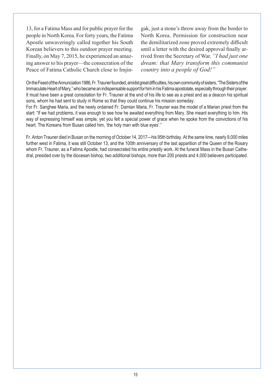13, for a Fatima Mass and for public prayer for the people in North Korea. For forty years, the Fatima Apostle unwaveringly called together his South Korean believers to this outdoor prayer meeting. Finally, on May 7, 2015, he experienced an amazing answer to his prayer—the consecration of the Peace of Fatima Catholic Church close to Imjin-

gak, just a stone's throw away from the border to North Korea. Permission for construction near the demilitarized zone proved extremely difficult until a letter with the desired approval finally arrived from the Secretary of War. *"I had just one dream: that Mary transform this communist country into a people of God!"*

On the Feast of the Annunciation 1986, Fr. Trauner founded, amidst great difficulties, his own community of sisters, "The Sisters of the Immaculate Heart of Mary," who became an indispensable support for him in his Fatima apostolate, especially through their prayer. It must have been a great consolation for Fr. Trauner at the end of his life to see as a priest and as a deacon his spiritual sons, whom he had sent to study in Rome so that they could continue his mission someday.

For Fr. Sanghee Maria, and the newly ordained Fr. Damian Maria, Fr. Trauner was the model of a Marian priest from the start: "If we had problems, it was enough to see how he awaited everything from Mary. She meant everything to him. His way of expressing himself was simple, yet you felt a special power of grace when he spoke from the convictions of his heart. The Koreans from Busan called him, 'the holy man with blue eyes'."

Fr. Anton Trauner died in Busan on the morning of October 14, 2017—his 95th birthday. At the same time, nearly 9,000 miles further west in Fatima, it was still October 13, and the 100th anniversary of the last apparition of the Queen of the Rosary whom Fr. Trauner, as a Fatima Apostle, had consecrated his entire priestly work. At the funeral Mass in the Busan Cathedral, presided over by the diocesan bishop, two additional bishops, more than 200 priests and 4,000 believers participated.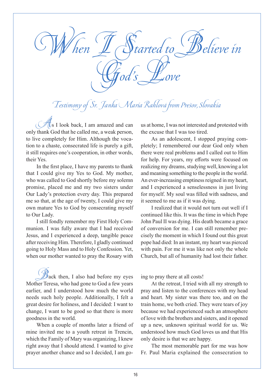tarted to <sup>CH</sup>Believe in God's Love

### Testimony of Sr. Janka Maria Rahlová from Prešov, Slovakia

 $\frac{A}{A}$ s I look back, I am amazed and can only thank God that he called me, a weak person, to live completely for Him. Although the vocation to a chaste, consecrated life is purely a gift, it still requires one's cooperation, in other words, their Yes.

In the first place, I have my parents to thank that I could give my Yes to God. My mother, who was called to God shortly before my solemn promise, placed me and my two sisters under Our Lady's protection every day. This prepared me so that, at the age of twenty, I could give my own mature Yes to God by consecrating myself to Our Lady.

I still fondly remember my First Holy Communion. I was fully aware that I had received Jesus, and I experienced a deep, tangible peace after receiving Him. Therefore, I gladly continued going to Holy Mass and to Holy Confession. Yet, when our mother wanted to pray the Rosary with

 $\mathcal{B}_{\text{ack}}$  then, I also had before my eyes Mother Teresa, who had gone to God a few years earlier, and I understood how much the world needs such holy people. Additionally, I felt a great desire for holiness, and I decided: I want to change, I want to be good so that there is more goodness in the world.

When a couple of months later a friend of mine invited me to a youth retreat in Trencin, which the Family of Mary was organizing, I knew right away that I should attend. I wanted to give prayer another chance and so I decided, I am gous at home, I was not interested and protested with the excuse that I was too tired.

As an adolescent, I stopped praying completely; I remembered our dear God only when there were real problems and I called out to Him for help. For years, my efforts were focused on realizing my dreams, studying well, knowing a lot and meaning something to the people in the world. An ever-increasing emptiness reigned in my heart, and I experienced a senselessness in just living for myself. My soul was filled with sadness, and it seemed to me as if it was dying.

I realized that it would not turn out well if I continued like this. It was the time in which Pope John Paul II was dying. His death became a grace of conversion for me. I can still remember precisely the moment in which I found out this great pope had died: In an instant, my heart was pierced with pain. For me it was like not only the whole Church, but all of humanity had lost their father.

ing to pray there at all costs!

At the retreat, I tried with all my strength to pray and listen to the conferences with my head and heart. My sister was there too, and on the train home, we both cried. They were tears of joy because we had experienced such an atmosphere of love with the brothers and sisters, and it opened up a new, unknown spiritual world for us. We understood how much God loves us and that His only desire is that we are happy.

The most memorable part for me was how Fr. Paul Maria explained the consecration to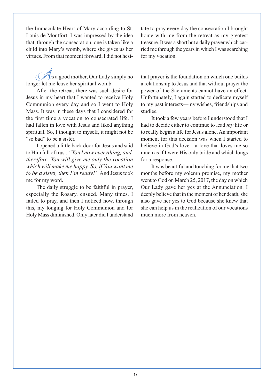the Immaculate Heart of Mary according to St. Louis de Montfort. I was impressed by the idea that, through the consecration, one is taken like a child into Mary's womb, where she gives us her virtues. From that moment forward, I did not hesi-

 $\operatorname{\mathcal{H}}$ s a good mother, Our Lady simply no longer let me leave her spiritual womb.

After the retreat, there was such desire for Jesus in my heart that I wanted to receive Holy Communion every day and so I went to Holy Mass. It was in these days that I considered for the first time a vocation to consecrated life. I had fallen in love with Jesus and liked anything spiritual. So, I thought to myself, it might not be "so bad" to be a sister.

I opened a little back door for Jesus and said to Him full of trust, *"You know everything, and, therefore, You will give me only the vocation which will make me happy. So, if You want me to be a sister, then I'm ready!"* And Jesus took me for my word.

The daily struggle to be faithful in prayer, especially the Rosary, ensued. Many times, I failed to pray, and then I noticed how, through this, my longing for Holy Communion and for Holy Mass diminished. Only later did I understand tate to pray every day the consecration I brought home with me from the retreat as my greatest treasure. It was a short but a daily prayer which carried me through the years in which I was searching for my vocation.

that prayer is the foundation on which one builds a relationship to Jesus and that without prayer the power of the Sacraments cannot have an effect. Unfortunately, I again started to dedicate myself to my past interests—my wishes, friendships and studies.

It took a few years before I understood that I had to decide either to continue to lead *my* life or to really begin a life for Jesus alone. An important moment for this decision was when I started to believe in God's love—a love that loves me so much as if I were His only bride and which longs for a response.

It was beautiful and touching for me that two months before my solemn promise, my mother went to God on March 25, 2017, the day on which Our Lady gave her yes at the Annunciation. I deeply believe that in the moment of her death, she also gave her yes to God because she knew that she can help us in the realization of our vocations much more from heaven.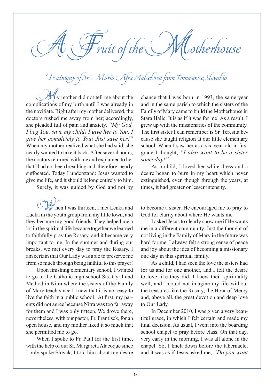Fruit of the  $\bigcup$  Motherhouse

## Testimony of Sr. Mária Afra Malčeková from Tomášovce, Slovakia

 $\mathcal{U}_y$  mother did not tell me about the complications of my birth until I was already in the novitiate. Right after my mother delivered, the doctors rushed me away from her; accordingly, she pleaded full of pain and anxiety, *"My God, I beg You, save my child! I give her to You, I give her completely to You! Just save her!"* When my mother realized what she had said, she nearly wanted to take it back. After several hours, the doctors returned with me and explained to her that I had not been breathing and, therefore, nearly suffocated. Today I understand: Jesus wanted to give me life, and it should belong entirely to him.

Surely, it was guided by God and not by

hen I was thirteen, I met Lenka and Lucka in the youth group from my little town, and they became my good friends. They helped me a lot in the spiritual life because together we learned to faithfully pray the Rosary, and it became very important to me. In the summer and during our breaks, we met every day to pray the Rosary. I am certain that Our Lady was able to preserve me from so much through being faithful to this prayer!

Upon finishing elementary school, I wanted to go to the Catholic high school Sts. Cyril and Method in Nitra where the sisters of the Family of Mary teach since I knew that it is not easy to live the faith in a public school. At first, my parents did not agree because Nitra was too far away for them and I was only fifteen. We drove there, nevertheless, with our pastor, Fr. Frantisek, for an open house, and my mother liked it so much that she permitted me to go.

When I spoke to Fr. Paul for the first time, with the help of our Sr. Margareta Alacoque since I only spoke Slovak, I told him about my desire chance that I was born in 1993, the same year and in the same parish to which the sisters of the Family of Mary came to build the Motherhouse in Stara Halic. It is as if it was for me! As a result, I grew up with the missionaries of the community. The first sister I can remember is Sr. Teresita because she taught religion at our little elementary school. When I saw her as a six-year-old in first grade I thought, *"I also want to be a sister some day!"* 

As a child, I loved her white dress and a desire began to burn in my heart which never extinguished, even though through the years, at times, it had greater or lesser intensity.

to become a sister. He encouraged me to pray to God for clarity about where He wants me.

I asked Jesus to clearly show me if He wants me in a different community. Just the thought of not living in the Family of Mary in the future was hard for me. I always felt a strong sense of peace and joy about the idea of becoming a missionary one day in this spiritual family.

As a child, I had seen the love the sisters had for us and for one another, and I felt the desire to love like they did. I knew their spirituality well, and I could not imagine my life without the treasures like the Rosary, the Hour of Mercy and, above all, the great devotion and deep love to Our Lady.

In December 2010, I was given a very beautiful grace, in which I felt certain and made my final decision. As usual, I went into the boarding school chapel to pray before class. On that day, very early in the morning, I was all alone in the chapel. So, I knelt down before the tabernacle, and it was as if Jesus asked me, *"Do you want*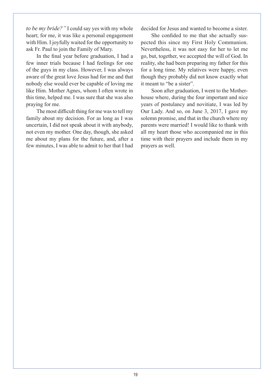*to be my bride?"* I could say yes with my whole heart; for me, it was like a personal engagement with Him. I joyfully waited for the opportunity to ask Fr. Paul to join the Family of Mary.

In the final year before graduation, I had a few inner trials because I had feelings for one of the guys in my class. However, I was always aware of the great love Jesus had for me and that nobody else would ever be capable of loving me like Him. Mother Agnes, whom I often wrote in this time, helped me. I was sure that she was also praying for me.

The most difficult thing for me was to tell my family about my decision. For as long as I was uncertain, I did not speak about it with anybody, not even my mother. One day, though, she asked me about my plans for the future, and, after a few minutes, I was able to admit to her that I had decided for Jesus and wanted to become a sister.

She confided to me that she actually suspected this since my First Holy Communion. Nevertheless, it was not easy for her to let me go, but, together, we accepted the will of God. In reality, she had been preparing my father for this for a long time. My relatives were happy, even though they probably did not know exactly what it meant to "be a sister".

Soon after graduation, I went to the Motherhouse where, during the four important and nice years of postulancy and novitiate, I was led by Our Lady. And so, on June 3, 2017, I gave my solemn promise, and that in the church where my parents were married! I would like to thank with all my heart those who accompanied me in this time with their prayers and include them in my prayers as well.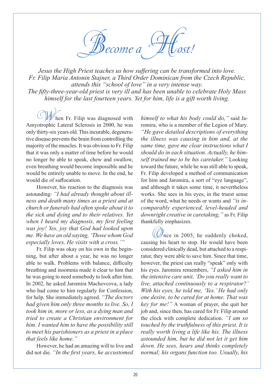ecome a

*Jesus the High Priest teaches us how suffering can be transformed into love. Fr. Filip Maria Antonin Stajner, a Third Order Dominican from the Czech Republic, attends this "school of love" in a very intense way. The fifty-three-year-old priest is very ill and has been unable to celebrate Holy Mass himself for the last fourteen years. Yet for him, life is a gift worth living.*

hen Fr. Filip was diagnosed with Amyotrophic Lateral Sclerosis in 2000, he was only thirty-six years old. This incurable, degenerative disease prevents the brain from controlling the majority of the muscles. It was obvious to Fr. Filip that it was only a matter of time before he would no longer be able to speak, chew and swallow, even breathing would become impossible and he would be entirely unable to move. In the end, he would die of suffocation.

However, his reaction to the diagnosis was astounding: *"I had already thought about illness and death many times as a priest and at church or funerals had often spoke about it to the sick and dying and to their relatives. Yet when I heard my diagnosis, my first feeling was joy! Yes, joy that God had looked upon me. We have an old saying, 'Those whom God especially loves, He visits with a cross.'"*

Fr. Filip was okay on his own in the beginning, but after about a year, he was no longer able to walk. Problems with balance, difficulty breathing and insomnia made it clear to him that he was going to need somebody to look after him. In 2002, he asked Jaromira Machovcova, a lady who had come to him regularly for Confession, for help. She immediately agreed. *"The doctors had given him only three months to live. So, I took him in, more or less, as a dying man and tried to create a Christian environment for him. I wanted him to have the possibility still to meet his parishioners as a priest in a place that feels like home."*

However, he had an amazing will to live and did not die. *"In the first years, he accustomed*  *himself to what his body could do,"* said Jaromira, who is a member of the Legion of Mary. *"He gave detailed descriptions of everything the illness was causing in him and, at the same time, gave me clear instructions what I should do in each situation. Actually, he himself trained me to be his caretaker."* Looking toward the future, while he was still able to speak, Fr. Filip developed a method of communication for him and Jaromira, a sort of "eye language", and although it takes some time, it nevertheless works. She sees in his eyes, in the truest sense of the word, what he needs or wants and *"is incomparably experienced, level-headed and downright creative in caretaking,"* as Fr. Filip thankfully emphasizes.

 $\mathcal{Q}$ nce in 2005, he suddenly choked, causing his heart to stop. He would have been considered clinically dead, but attached to a respirator, they were able to save him. Since that time, however, the priest can really "speak" only with his eyes. Jaromira remembers, *"I asked him in the intensive care unit, 'Do you really want to live, attached continuously to a respirator?' With his eyes, he told me, 'Yes.' He had only one desire, to be cared for at home. That was key for me!"* A woman of prayer, she quit her job and, since then, has cared for Fr. Filip around the clock with complete dedication. *"I am so touched by the truthfulness of this priest. It is really worth living a life like his. The illness astounded him, but he did not let it get him down. He sees, hears and thinks completely normal; his organs function too. Usually, his*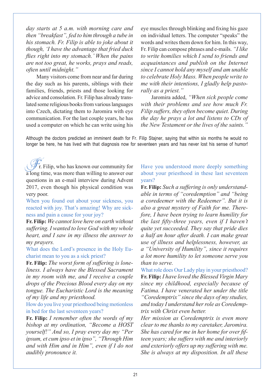*day starts at 5 a.m. with morning care and then "breakfast", fed to him through a tube in his stomach. Fr. Filip is able to joke about it though, 'I have the advantage that fried duck flies right into my stomach.' When the pains are not too great, he works, prays and reads, often until midnight."*

Many visitors come from near and far during the day such as his parents, siblings with their families, friends, priests and those looking for advice and consolation. Fr. Filip has already translated some religious books from various languages into Czech, dictating them to Jaromira with eye communication. For the last couple years, he has used a computer on which he can write using his

eye muscles through blinking and fixing his gaze on individual letters. The computer "speaks" the words and writes them down for him. In this way, Fr. Filip can compose phrases and e-mails. *"I like to write homilies which I send to friends and acquaintances and publish on the Internet since I cannot hold any myself and am unable to celebrate Holy Mass. When people write to me with their intentions, I gladly help pastorally as a priest."* 

Jaromira added, *"When sick people come with their problems and see how much Fr. Filip suffers, they often become quiet. During the day he prays a lot and listens to CDs of the New Testament or the lives of the saints."*

Although the doctors predicted an imminent death for Fr. Filip Stajner, saying that within six months he would no longer be here, he has lived with that diagnosis now for seventeen years and has never lost his sense of humor!

Fr. Filip, who has known our community for a long time, was more than willing to answer our questions in an e-mail interview during Advent 2017, even though his physical condition was very poor.

When you found out about your sickness, you reacted with joy. That's amazing! Why are sickness and pain a cause for your joy?

**Fr. Filip:** *We cannot love here on earth without suffering. I wanted to love God with my whole heart, and I saw in my illness the answer to my prayers.*

What does the Lord's presence in the Holy Eucharist mean to you as a sick priest?

**Fr. Filip:** *The worst form of suffering is loneliness. I always have the Blessed Sacrament in my room with me, and I receive a couple drops of the Precious Blood every day on my tongue. The Eucharistic Lord is the meaning of my life and my priesthood.*

How do you live your priesthood being motionless in bed for the last seventeen years?

**Fr. Filip:** *I remember often the words of my bishop at my ordination, "Become a HOST yourself!" And so, I pray every day my "Per ipsum, et cum ipso et in ipso", "Through Him and with Him and in Him", even if I do not audibly pronounce it.*

Have you understood more deeply something about your priesthood in these last seventeen years?

**Fr. Filip:** *Such a suffering is only understandable in terms of "coredemption" and "being a coredeemer with the Redeemer". But it is also a great mystery of Faith for me. Therefore, I have been trying to learn humility for the last fifty-three years, even if I haven't quite yet succeeded. They say that pride dies a half an hour after death. I can make great use of illness and helplessness, however, as a "University of Humility", since it requires a lot more humility to let someone serve you than to serve.*

What role does Our Lady play in your priesthood? **Fr. Filip:** *I have loved the Blessed Virgin Mary since my childhood, especially because of Fatima. I have venerated her under the title "Coredemptrix" since the days of my studies, and today I understand her role as Coredemptrix with Christ even better.*

*Her mission as Coredemptrix is even more clear to me thanks to my caretaker, Jaromira. She has cared for me in her home for over fifteen years; she suffers with me and interiorly and exteriorly offers up my suffering with me. She is always at my disposition. In all these*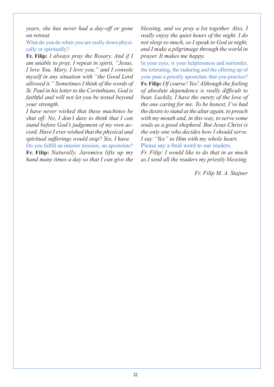*years, she has never had a day-off or gone on retreat.*

What do you do when you are really down physically or spiritually?

**Fr. Filip:** *I always pray the Rosary. And if I am unable to pray, I repeat in spirit, "Jesus, I love You. Mary, I love you," and I console myself in any situation with "the Good Lord allowed it." Sometimes I think of the words of St. Paul in his letter to the Corinthians, God is faithful and will not let you be tested beyond your strength.*

*I have never wished that these machines be shut off. No, I don't dare to think that I can stand before God's judgement of my own accord. Have I ever wished that the physical and spiritual sufferings would stop? Yes, I have.*

Do you fulfill an interior mission, an apostolate? **Fr. Filip:** *Naturally. Jaromira lifts up my hand many times a day so that I can give the*  *blessing, and we pray a lot together. Also, I really enjoy the quiet hours of the night. I do not sleep so much, so I speak to God at night, and I make a pilgrimage through the world in prayer. It makes me happy.*

In your eyes, is your helplessness and surrender, the tolerating, the enduring and the offering up of your pain a priestly apostolate that you practice? **Fr. Filip:** *Of course! Yes! Although the feeling of absolute dependence is really difficult to bear. Luckily, I have the surety of the love of the one caring for me. To be honest, I've had the desire to stand at the altar again, to preach with my mouth and, in this way, to serve some souls as a good shepherd. But Jesus Christ is the only one who decides how I should serve. I say "Yes" to Him with my whole heart.* Please say a final word to our readers.

*Fr. Filip: I would like to do that in as much as I send all the readers my priestly blessing.*

*Fr. Filip M. A. Stajner*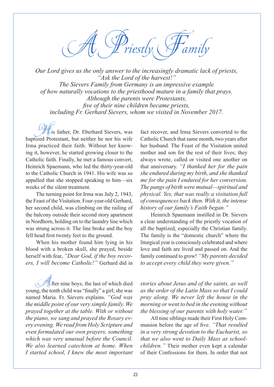A Priestly Family

*Our Lord gives us the only answer to the increasingly dramatic lack of priests, "Ask the Lord of the harvest!" The Sievers Family from Germany is an impressive example of how naturally vocations to the priesthood mature in a family that prays. Although the parents were Protestants, five of their nine children became priests, including Fr. Gerhard Sievers, whom we visited in November 2017.*

 $\mathcal{U}$ is father, Dr. Eberhard Sievers, was baptized Protestant, but neither he nor his wife Irma practiced their faith. Without her knowing it, however, he started growing closer to the Catholic faith. Finally, he met a famous convert, Heinrich Spaemann, who led the thirty-year-old to the Catholic Church in 1941. His wife was so appalled that she stopped speaking to him—six weeks of the silent treatment.

The turning point for Irma was July 2, 1943, the Feast of the Visitation. Four-year-old Gerhard, her second child, was climbing on the railing of the balcony outside their second story apartment in Nordhorn, holding on to the laundry line which was strung across it. The line broke and the boy fell head first twenty feet to the ground.

When his mother found him lying in his blood with a broken skull, she prayed, beside herself with fear, *"Dear God, if the boy recovers, I will become Catholic!"* Gerhard did in

 $\mathcal{H}$ fter nine boys, the last of which died young, the tenth child was "finally" a girl; she was named Maria. Fr. Sievers explains. *"God was the middle point of our very simple family. We prayed together at the table. With or without the piano, we sang and prayed the Rosary every evening. We read from Holy Scripture and even formulated our own prayers, something which was very unusual before the Council. We also learned catechism at home. When I started school, I knew the most important* 

fact recover, and Irma Sievers converted to the Catholic Church that same month, two years after her husband. The Feast of the Visitation united mother and son for the rest of their lives; they always wrote, called or visited one another on that anniversary. *"I thanked her for the pain she endured during my birth, and she thanked me for the pain I endured for her conversion. The pangs of birth were mutual—spiritual and physical. Yes, that was really a visitation full of consequences back then. With it, the intense history of our family's Faith began."*

Heinrich Spaemann instilled in Dr. Sievers a clear understanding of the priestly vocation of all the baptized, especially the Christian family. The family is the "domestic church" where the liturgical year is consciously celebrated and where love and faith are lived and passed on. And the family continued to grow! *"My parents decided to accept every child they were given."* 

*stories about Jesus and of the saints, as well as the order of the Latin Mass so that I could pray along. We never left the house in the morning or went to bed in the evening without the blessing of our parents with holy water."*

All nine siblings made their First Holy Communion before the age of five. *"That resulted in a very strong devotion to the Eucharist, so that we also went to Daily Mass as schoolchildren."* Their mother even kept a calendar of their Confessions for them. In order that not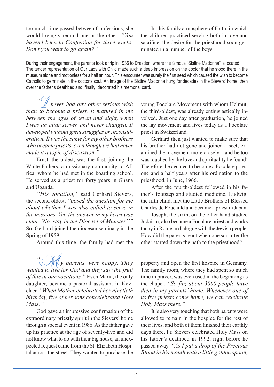too much time passed between Confessions, she would lovingly remind one or the other, *"You haven't been to Confession for three weeks. Don't you want to go again?"*

In this family atmosphere of Faith, in which the children practiced serving both in love and sacrifice, the desire for the priesthood soon germinated in a number of the boys.

During their engagement, the parents took a trip in 1936 to Dresden, where the famous "Sistine Madonna" is located. The tender representation of Our Lady with Child made such a deep impression on the doctor that he stood there in the museum alone and motionless for a half an hour. This encounter was surely the first seed which caused the wish to become Catholic to germinate in the doctor's soul. An image of the Sistine Madonna hung for decades in the Sievers' home, then over the father's deathbed and, finally, decorated his memorial card.

*"*I *never had any other serious wish than to become a priest. It matured in me between the ages of seven and eight, when I was an altar server, and never changed. It developed without great struggles or reconsideration. It was the same for my other brothers who became priests, even though we had never made it a topic of discussion."*

Ernst, the oldest, was the first, joining the White Fathers, a missionary community to Africa, whom he had met in the boarding school. He served as a priest for forty years in Ghana and Uganda.

*"His vocation,"* said Gerhard Sievers, the second oldest, *"posed the question for me about whether I was also called to serve in the missions. Yet, the answer in my heart was clear, 'No, stay in the Diocese of Munster!'"* So, Gerhard joined the diocesan seminary in the Spring of 1959.

Around this time, the family had met the

*"*M*y parents were happy. They wanted to live for God and they saw the fruit of this in our vocations."* Even Maria, the only daughter, became a pastoral assistant in Kevelaer. *"When Mother celebrated her ninetieth birthday, five of her sons concelebrated Holy Mass."*

God gave an impressive confirmation of the extraordinary priestly spirit in the Sievers' home through a special event in 1986. As the father gave up his practice at the age of seventy-five and did not know what to do with their big house, an unexpected request came from the St. Elizabeth Hospital across the street. They wanted to purchase the

young Focolare Movement with whom Helmut, the third-oldest, was already enthusiastically involved. Just one day after graduation, he joined the lay movement and lives today as a Focolare priest in Switzerland.

Gerhard then just wanted to make sure that his brother had not gone and joined a sect, examined the movement more closely—and he too was touched by the love and spirituality he found! Therefore, he decided to become a Focolare priest one and a half years after his ordination to the priesthood, in June, 1966.

After the fourth-oldest followed in his father's footstep and studied medicine, Ludwig, the fifth child, met the Little Brothers of Blessed Charles de Foucauld and became a priest in Japan.

Joseph, the sixth, on the other hand studied Judaism, also became a Focolare priest and works today in Rome in dialogue with the Jewish people. How did the parents react when one son after the other started down the path to the priesthood?

property and open the first hospice in Germany. The family room, where they had spent so much time in prayer, was even used in the beginning as the chapel. *"So far, about 3000 people have died in my parents' home. Whenever one of us five priests come home, we can celebrate Holy Mass there."*

It is also very touching that both parents were allowed to remain in the hospice for the rest of their lives, and both of them finished their earthly days there. Fr. Sievers celebrated Holy Mass on his father's deathbed in 1992, right before he passed away. *"As I put a drop of the Precious Blood in his mouth with a little golden spoon,*